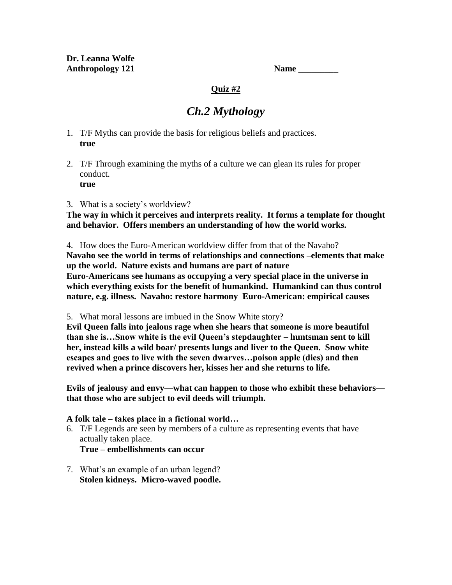| Name |  |
|------|--|
|      |  |

### **Quiz #2**

# *Ch.2 Mythology*

- 1. T/F Myths can provide the basis for religious beliefs and practices. **true**
- 2. T/F Through examining the myths of a culture we can glean its rules for proper conduct. **true**
- 3. What is a society's worldview?

**The way in which it perceives and interprets reality. It forms a template for thought and behavior. Offers members an understanding of how the world works.**

4. How does the Euro-American worldview differ from that of the Navaho? **Navaho see the world in terms of relationships and connections –elements that make up the world. Nature exists and humans are part of nature Euro-Americans see humans as occupying a very special place in the universe in which everything exists for the benefit of humankind. Humankind can thus control nature, e.g. illness. Navaho: restore harmony Euro-American: empirical causes**

5. What moral lessons are imbued in the Snow White story?

**Evil Queen falls into jealous rage when she hears that someone is more beautiful than she is…Snow white is the evil Queen's stepdaughter – huntsman sent to kill her, instead kills a wild boar/ presents lungs and liver to the Queen. Snow white escapes and goes to live with the seven dwarves…poison apple (dies) and then revived when a prince discovers her, kisses her and she returns to life.**

**Evils of jealousy and envy—what can happen to those who exhibit these behaviors that those who are subject to evil deeds will triumph.**

### **A folk tale – takes place in a fictional world…**

- 6. T/F Legends are seen by members of a culture as representing events that have actually taken place. **True – embellishments can occur**
- 7. What's an example of an urban legend? **Stolen kidneys. Micro-waved poodle.**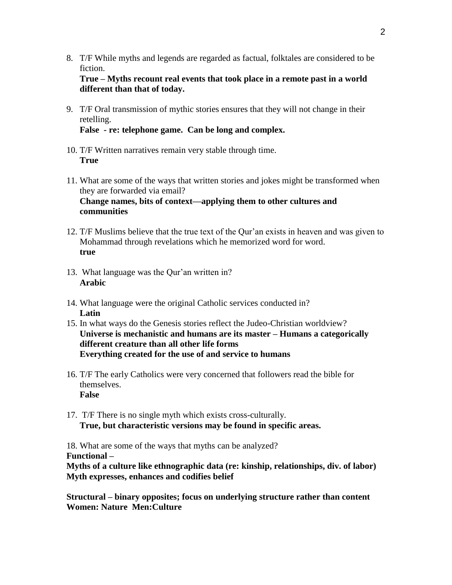8. T/F While myths and legends are regarded as factual, folktales are considered to be fiction.

**True – Myths recount real events that took place in a remote past in a world different than that of today.**

9. T/F Oral transmission of mythic stories ensures that they will not change in their retelling.

**False - re: telephone game. Can be long and complex.**

- 10. T/F Written narratives remain very stable through time. **True**
- 11. What are some of the ways that written stories and jokes might be transformed when they are forwarded via email? **Change names, bits of context—applying them to other cultures and communities**
- 12. T/F Muslims believe that the true text of the Qur'an exists in heaven and was given to Mohammad through revelations which he memorized word for word. **true**
- 13. What language was the Qur'an written in? **Arabic**
- 14. What language were the original Catholic services conducted in? **Latin**
- 15. In what ways do the Genesis stories reflect the Judeo-Christian worldview? **Universe is mechanistic and humans are its master – Humans a categorically different creature than all other life forms Everything created for the use of and service to humans**
- 16. T/F The early Catholics were very concerned that followers read the bible for themselves. **False**
- 17. T/F There is no single myth which exists cross-culturally. **True, but characteristic versions may be found in specific areas.**

18. What are some of the ways that myths can be analyzed? **Functional –**

**Myths of a culture like ethnographic data (re: kinship, relationships, div. of labor) Myth expresses, enhances and codifies belief**

**Structural – binary opposites; focus on underlying structure rather than content Women: Nature Men:Culture**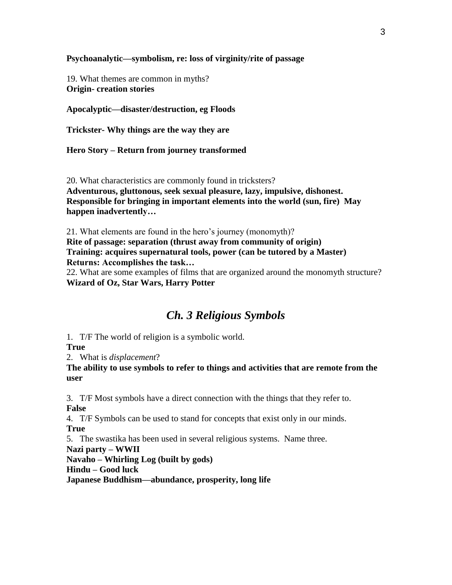**Psychoanalytic—symbolism, re: loss of virginity/rite of passage**

19. What themes are common in myths? **Origin- creation stories**

**Apocalyptic—disaster/destruction, eg Floods**

**Trickster- Why things are the way they are**

**Hero Story – Return from journey transformed**

20. What characteristics are commonly found in tricksters? **Adventurous, gluttonous, seek sexual pleasure, lazy, impulsive, dishonest. Responsible for bringing in important elements into the world (sun, fire) May happen inadvertently…**

21. What elements are found in the hero's journey (monomyth)? **Rite of passage: separation (thrust away from community of origin) Training: acquires supernatural tools, power (can be tutored by a Master) Returns: Accomplishes the task…**

22. What are some examples of films that are organized around the monomyth structure? **Wizard of Oz, Star Wars, Harry Potter**

## *Ch. 3 Religious Symbols*

1. T/F The world of religion is a symbolic world.

**True**

2. What is *displacement*?

**The ability to use symbols to refer to things and activities that are remote from the user**

3. T/F Most symbols have a direct connection with the things that they refer to.

**False**

4. T/F Symbols can be used to stand for concepts that exist only in our minds. **True**

5. The swastika has been used in several religious systems. Name three.

**Nazi party – WWII**

**Navaho – Whirling Log (built by gods)**

**Hindu – Good luck**

**Japanese Buddhism—abundance, prosperity, long life**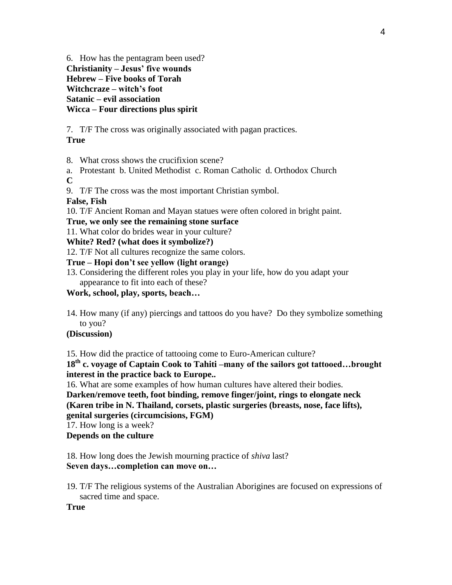6. How has the pentagram been used? **Christianity – Jesus' five wounds**

**Hebrew – Five books of Torah Witchcraze – witch's foot Satanic – evil association Wicca – Four directions plus spirit**

7. T/F The cross was originally associated with pagan practices.

## **True**

8. What cross shows the crucifixion scene?

a. Protestant b. United Methodist c. Roman Catholic d. Orthodox Church **C**

9. T/F The cross was the most important Christian symbol.

## **False, Fish**

10. T/F Ancient Roman and Mayan statues were often colored in bright paint.

### **True, we only see the remaining stone surface**

11. What color do brides wear in your culture?

**White? Red? (what does it symbolize?)**

12. T/F Not all cultures recognize the same colors.

## **True – Hopi don't see yellow (light orange)**

13. Considering the different roles you play in your life, how do you adapt your appearance to fit into each of these?

**Work, school, play, sports, beach…**

14. How many (if any) piercings and tattoos do you have? Do they symbolize something to you?

# **(Discussion)**

15. How did the practice of tattooing come to Euro-American culture?

**18th c. voyage of Captain Cook to Tahiti –many of the sailors got tattooed…brought interest in the practice back to Europe..**

16. What are some examples of how human cultures have altered their bodies.

**Darken/remove teeth, foot binding, remove finger/joint, rings to elongate neck (Karen tribe in N. Thailand, corsets, plastic surgeries (breasts, nose, face lifts),** 

**genital surgeries (circumcisions, FGM)**

17. How long is a week?

**Depends on the culture**

18. How long does the Jewish mourning practice of *shiva* last? **Seven days…completion can move on…**

19. T/F The religious systems of the Australian Aborigines are focused on expressions of sacred time and space.

### **True**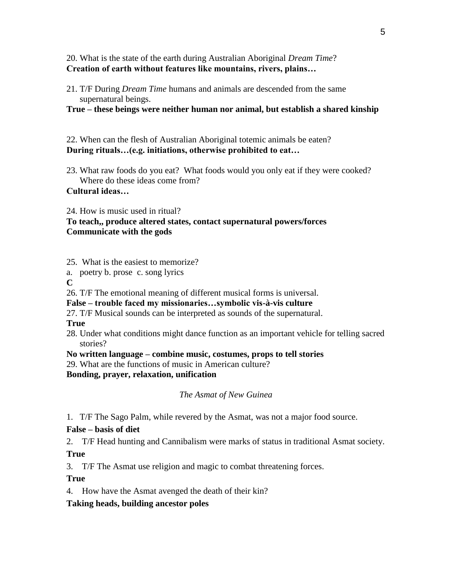20. What is the state of the earth during Australian Aboriginal *Dream Time*? **Creation of earth without features like mountains, rivers, plains…**

21. T/F During *Dream Time* humans and animals are descended from the same supernatural beings.

**True – these beings were neither human nor animal, but establish a shared kinship**

22. When can the flesh of Australian Aboriginal totemic animals be eaten? **During rituals…(e.g. initiations, otherwise prohibited to eat…**

23. What raw foods do you eat? What foods would you only eat if they were cooked? Where do these ideas come from?

**Cultural ideas…**

24. How is music used in ritual?

### **To teach,, produce altered states, contact supernatural powers/forces Communicate with the gods**

25. What is the easiest to memorize?

a. poetry b. prose c. song lyrics

**C**

26. T/F The emotional meaning of different musical forms is universal.

**False – trouble faced my missionaries…symbolic vis-à-vis culture**

27. T/F Musical sounds can be interpreted as sounds of the supernatural.

**True**

- 28. Under what conditions might dance function as an important vehicle for telling sacred stories?
- **No written language – combine music, costumes, props to tell stories**
- 29. What are the functions of music in American culture?

**Bonding, prayer, relaxation, unification**

*The Asmat of New Guinea*

1. T/F The Sago Palm, while revered by the Asmat, was not a major food source.

### **False – basis of diet**

2. T/F Head hunting and Cannibalism were marks of status in traditional Asmat society.

**True**

3. T/F The Asmat use religion and magic to combat threatening forces.

**True**

4. How have the Asmat avenged the death of their kin?

**Taking heads, building ancestor poles**